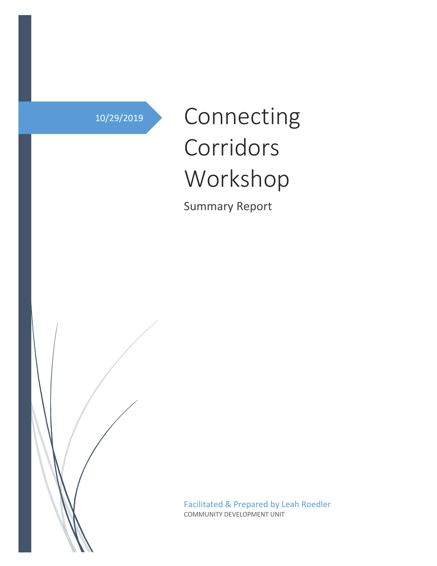# 10/29/2019 Connecting Corridors Workshop

Summary Report

Facilitated & Prepared by Leah Roedler COMMUNITY DEVELOPMENT UNIT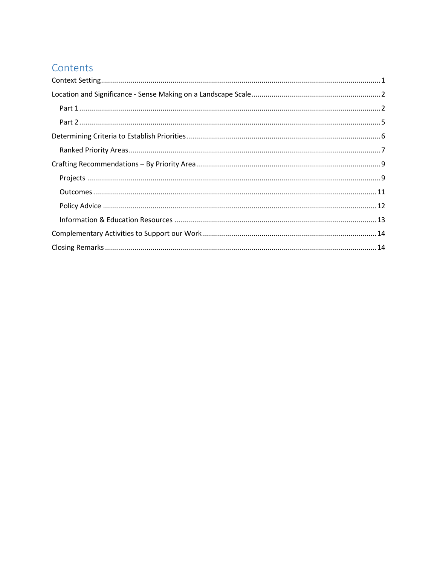## Contents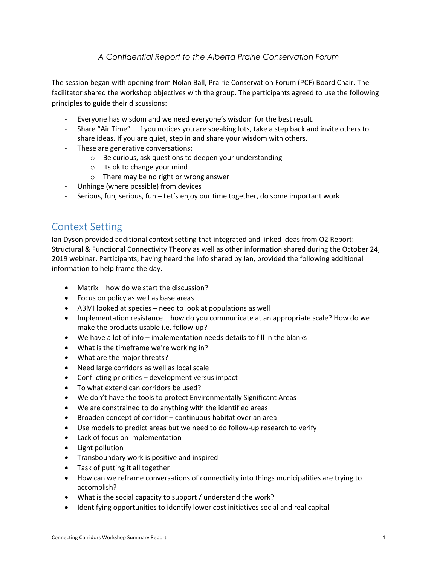### *A Confidential Report to the Alberta Prairie Conservation Forum*

The session began with opening from Nolan Ball, Prairie Conservation Forum (PCF) Board Chair. The facilitator shared the workshop objectives with the group. The participants agreed to use the following principles to guide their discussions:

- Everyone has wisdom and we need everyone's wisdom for the best result.
- Share "Air Time" If you notices you are speaking lots, take a step back and invite others to share ideas. If you are quiet, step in and share your wisdom with others.
- These are generative conversations:
	- o Be curious, ask questions to deepen your understanding
	- o Its ok to change your mind
	- o There may be no right or wrong answer
- Unhinge (where possible) from devices
- Serious, fun, serious, fun Let's enjoy our time together, do some important work

### Context Setting

Ian Dyson provided additional context setting that integrated and linked ideas from O2 Report: Structural & Functional Connectivity Theory as well as other information shared during the October 24, 2019 webinar. Participants, having heard the info shared by Ian, provided the following additional information to help frame the day.

- Matrix how do we start the discussion?
- Focus on policy as well as base areas
- ABMI looked at species need to look at populations as well
- Implementation resistance how do you communicate at an appropriate scale? How do we make the products usable i.e. follow-up?
- We have a lot of info implementation needs details to fill in the blanks
- What is the timeframe we're working in?
- What are the major threats?
- Need large corridors as well as local scale
- Conflicting priorities development versus impact
- To what extend can corridors be used?
- We don't have the tools to protect Environmentally Significant Areas
- We are constrained to do anything with the identified areas
- Broaden concept of corridor continuous habitat over an area
- Use models to predict areas but we need to do follow-up research to verify
- Lack of focus on implementation
- Light pollution
- Transboundary work is positive and inspired
- Task of putting it all together
- How can we reframe conversations of connectivity into things municipalities are trying to accomplish?
- What is the social capacity to support / understand the work?
- Identifying opportunities to identify lower cost initiatives social and real capital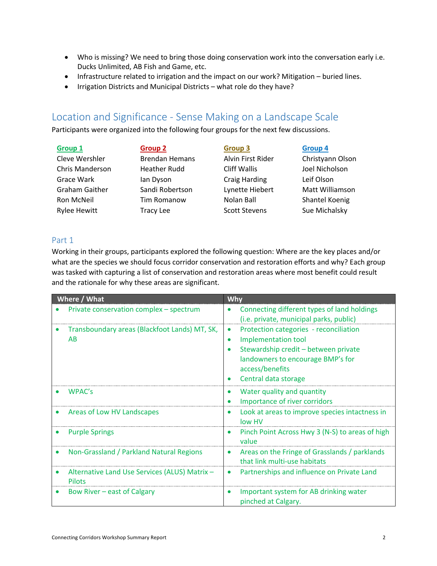- Who is missing? We need to bring those doing conservation work into the conversation early i.e. Ducks Unlimited, AB Fish and Game, etc.
- Infrastructure related to irrigation and the impact on our work? Mitigation buried lines.
- Irrigation Districts and Municipal Districts what role do they have?

### Location and Significance - Sense Making on a Landscape Scale

Participants were organized into the following four groups for the next few discussions.

| <b>Group 1</b>        | <b>Group 2</b>        | <b>Group 3</b>       | <b>Group 4</b>   |
|-----------------------|-----------------------|----------------------|------------------|
| Cleve Wershler        | <b>Brendan Hemans</b> | Alvin First Rider    | Christyann Olson |
| Chris Manderson       | <b>Heather Rudd</b>   | <b>Cliff Wallis</b>  | Joel Nicholson   |
| Grace Wark            | lan Dyson             | <b>Craig Harding</b> | Leif Olson       |
| <b>Graham Gaither</b> | Sandi Robertson       | Lynette Hiebert      | Matt Williamson  |
| Ron McNeil            | <b>Tim Romanow</b>    | Nolan Ball           | Shantel Koenig   |
| <b>Rylee Hewitt</b>   | <b>Tracy Lee</b>      | <b>Scott Stevens</b> | Sue Michalsky    |

### Part 1

Working in their groups, participants explored the following question: Where are the key places and/or what are the species we should focus corridor conservation and restoration efforts and why? Each group was tasked with capturing a list of conservation and restoration areas where most benefit could result and the rationale for why these areas are significant.

| Where / What                                                  | Why                                                                                                                                                                                                                          |
|---------------------------------------------------------------|------------------------------------------------------------------------------------------------------------------------------------------------------------------------------------------------------------------------------|
| Private conservation complex - spectrum                       | Connecting different types of land holdings<br>$\bullet$<br>(i.e. private, municipal parks, public)                                                                                                                          |
| Transboundary areas (Blackfoot Lands) MT, SK,<br>AB           | Protection categories - reconciliation<br>$\bullet$<br>Implementation tool<br>$\bullet$<br>Stewardship credit - between private<br>landowners to encourage BMP's for<br>access/benefits<br>Central data storage<br>$\bullet$ |
| WPAC's                                                        | Water quality and quantity<br>$\bullet$<br>Importance of river corridors<br>٠                                                                                                                                                |
| Areas of Low HV Landscapes                                    | Look at areas to improve species intactness in<br>$\bullet$<br>low HV                                                                                                                                                        |
| <b>Purple Springs</b>                                         | Pinch Point Across Hwy 3 (N-S) to areas of high<br>$\bullet$<br>value                                                                                                                                                        |
| Non-Grassland / Parkland Natural Regions                      | Areas on the Fringe of Grasslands / parklands<br>$\bullet$<br>that link multi-use habitats                                                                                                                                   |
| Alternative Land Use Services (ALUS) Matrix-<br><b>Pilots</b> | Partnerships and influence on Private Land<br>$\bullet$                                                                                                                                                                      |
| Bow River – east of Calgary                                   | Important system for AB drinking water<br>$\bullet$<br>pinched at Calgary.                                                                                                                                                   |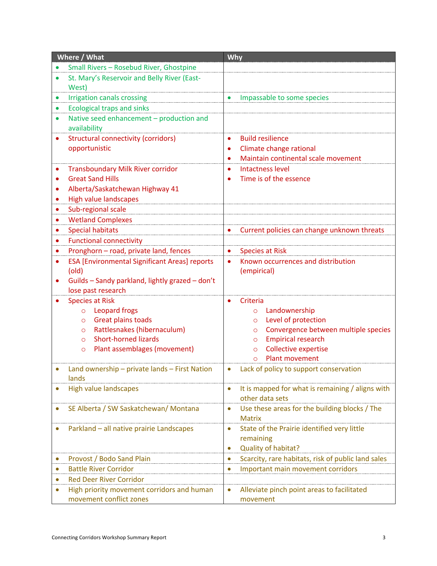| Where / What                                             | Why                                                             |  |  |
|----------------------------------------------------------|-----------------------------------------------------------------|--|--|
| Small Rivers - Rosebud River, Ghostpine                  |                                                                 |  |  |
| St. Mary's Reservoir and Belly River (East-<br>$\bullet$ |                                                                 |  |  |
| West)                                                    |                                                                 |  |  |
| <b>Irrigation canals crossing</b>                        | Impassable to some species<br>$\bullet$                         |  |  |
| <b>Ecological traps and sinks</b>                        |                                                                 |  |  |
| Native seed enhancement - production and<br>$\bullet$    |                                                                 |  |  |
| availability                                             |                                                                 |  |  |
| <b>Structural connectivity (corridors)</b><br>$\bullet$  | <b>Build resilience</b><br>$\bullet$                            |  |  |
| opportunistic                                            | Climate change rational                                         |  |  |
|                                                          | Maintain continental scale movement                             |  |  |
| <b>Transboundary Milk River corridor</b>                 | Intactness level<br>٠                                           |  |  |
| <b>Great Sand Hills</b>                                  | Time is of the essence                                          |  |  |
| Alberta/Saskatchewan Highway 41                          |                                                                 |  |  |
| <b>High value landscapes</b>                             |                                                                 |  |  |
| Sub-regional scale                                       |                                                                 |  |  |
| <b>Wetland Complexes</b>                                 |                                                                 |  |  |
| <b>Special habitats</b><br>$\bullet$                     | Current policies can change unknown threats<br>$\bullet$        |  |  |
| <b>Functional connectivity</b><br>$\bullet$              |                                                                 |  |  |
| Pronghorn - road, private land, fences<br>$\bullet$      | <b>Species at Risk</b><br>$\bullet$                             |  |  |
| <b>ESA [Environmental Significant Areas] reports</b>     | Known occurrences and distribution                              |  |  |
| (old)                                                    | (empirical)                                                     |  |  |
| Guilds - Sandy parkland, lightly grazed - don't          |                                                                 |  |  |
| lose past research                                       |                                                                 |  |  |
| <b>Species at Risk</b>                                   | Criteria                                                        |  |  |
| Leopard frogs<br>$\circ$                                 | Landownership<br>$\circ$                                        |  |  |
| Great plains toads<br>$\circ$                            | Level of protection<br>$\circ$                                  |  |  |
| Rattlesnakes (hibernaculum)<br>$\circ$                   | Convergence between multiple species<br>$\circ$                 |  |  |
| <b>Short-horned lizards</b><br>$\circ$                   | <b>Empirical research</b><br>$\circ$                            |  |  |
| Plant assemblages (movement)<br>$\circ$                  | <b>Collective expertise</b><br>$\circ$                          |  |  |
|                                                          | Plant movement<br>$\Omega$                                      |  |  |
| Land ownership - private lands - First Nation            | Lack of policy to support conservation                          |  |  |
| lands                                                    |                                                                 |  |  |
| <b>High value landscapes</b>                             | It is mapped for what is remaining / aligns with<br>$\bullet$   |  |  |
|                                                          | other data sets                                                 |  |  |
| SE Alberta / SW Saskatchewan/ Montana                    | Use these areas for the building blocks / The<br>$\bullet$      |  |  |
|                                                          | <b>Matrix</b>                                                   |  |  |
| Parkland - all native prairie Landscapes                 | State of the Prairie identified very little<br>$\bullet$        |  |  |
|                                                          | remaining                                                       |  |  |
|                                                          | Quality of habitat?<br>۰                                        |  |  |
| Provost / Bodo Sand Plain                                | Scarcity, rare habitats, risk of public land sales<br>$\bullet$ |  |  |
| <b>Battle River Corridor</b>                             | Important main movement corridors<br>$\bullet$                  |  |  |
| <b>Red Deer River Corridor</b>                           |                                                                 |  |  |
| High priority movement corridors and human               | Alleviate pinch point areas to facilitated                      |  |  |
| movement conflict zones                                  | movement                                                        |  |  |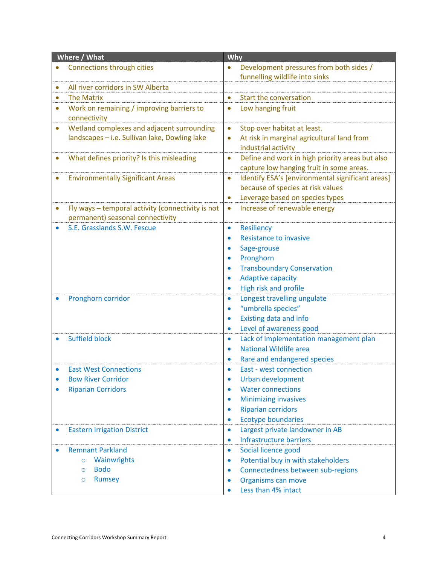| Where / What                                                   | Why                                                               |  |  |
|----------------------------------------------------------------|-------------------------------------------------------------------|--|--|
| Connections through cities                                     | Development pressures from both sides /                           |  |  |
|                                                                | funnelling wildlife into sinks                                    |  |  |
| All river corridors in SW Alberta                              |                                                                   |  |  |
| <b>The Matrix</b><br>$\bullet$                                 | <b>Start the conversation</b><br>$\bullet$                        |  |  |
| Work on remaining / improving barriers to                      | Low hanging fruit                                                 |  |  |
| connectivity                                                   |                                                                   |  |  |
| Wetland complexes and adjacent surrounding                     | Stop over habitat at least.                                       |  |  |
| landscapes - i.e. Sullivan lake, Dowling lake                  | At risk in marginal agricultural land from                        |  |  |
|                                                                | industrial activity                                               |  |  |
| What defines priority? Is this misleading                      | Define and work in high priority areas but also<br>$\bullet$      |  |  |
|                                                                | capture low hanging fruit in some areas.                          |  |  |
| <b>Environmentally Significant Areas</b>                       | Identify ESA's [environmental significant areas]<br>$\bullet$     |  |  |
|                                                                | because of species at risk values                                 |  |  |
|                                                                | Leverage based on species types                                   |  |  |
| Fly ways - temporal activity (connectivity is not<br>$\bullet$ | Increase of renewable energy<br>٠                                 |  |  |
| permanent) seasonal connectivity                               |                                                                   |  |  |
| S.E. Grasslands S.W. Fescue                                    | <b>Resiliency</b><br>$\bullet$                                    |  |  |
|                                                                | <b>Resistance to invasive</b>                                     |  |  |
|                                                                | Sage-grouse                                                       |  |  |
|                                                                | Pronghorn                                                         |  |  |
|                                                                | <b>Transboundary Conservation</b>                                 |  |  |
|                                                                | <b>Adaptive capacity</b>                                          |  |  |
| Pronghorn corridor                                             | High risk and profile<br>Longest travelling ungulate<br>$\bullet$ |  |  |
|                                                                | "umbrella species"                                                |  |  |
|                                                                | Existing data and info<br>٠                                       |  |  |
|                                                                | Level of awareness good<br>$\bullet$                              |  |  |
| <b>Suffield block</b>                                          | Lack of implementation management plan<br>$\bullet$               |  |  |
|                                                                | <b>National Wildlife area</b>                                     |  |  |
|                                                                | Rare and endangered species                                       |  |  |
| <b>East West Connections</b>                                   | East - west connection                                            |  |  |
| <b>Bow River Corridor</b>                                      | <b>Urban development</b>                                          |  |  |
| <b>Riparian Corridors</b>                                      | <b>Water connections</b><br>$\bullet$                             |  |  |
|                                                                | <b>Minimizing invasives</b><br>$\bullet$                          |  |  |
|                                                                | <b>Riparian corridors</b><br>$\bullet$                            |  |  |
|                                                                | <b>Ecotype boundaries</b><br>$\bullet$                            |  |  |
| <b>Eastern Irrigation District</b><br>$\bullet$                | Largest private landowner in AB<br>$\bullet$                      |  |  |
|                                                                | <b>Infrastructure barriers</b><br>$\bullet$                       |  |  |
| <b>Remnant Parkland</b>                                        | Social licence good<br>٠                                          |  |  |
| Wainwrights<br>$\circ$                                         | Potential buy in with stakeholders<br>$\bullet$                   |  |  |
| <b>Bodo</b><br>$\Omega$                                        | Connectedness between sub-regions<br>$\bullet$                    |  |  |
| Rumsey<br>$\circ$                                              | Organisms can move                                                |  |  |
|                                                                | Less than 4% intact                                               |  |  |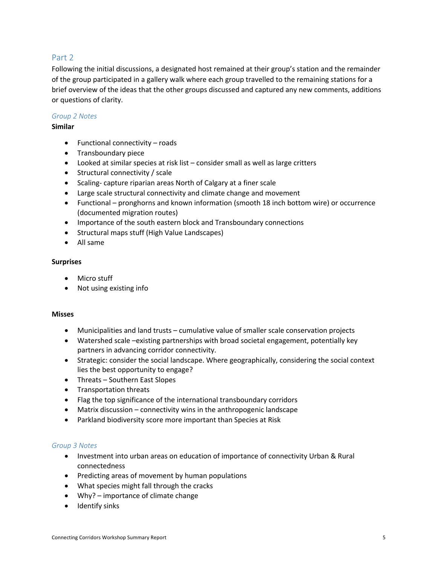### Part 2

Following the initial discussions, a designated host remained at their group's station and the remainder of the group participated in a gallery walk where each group travelled to the remaining stations for a brief overview of the ideas that the other groups discussed and captured any new comments, additions or questions of clarity.

### *Group 2 Notes*

### **Similar**

- Functional connectivity roads
- Transboundary piece
- Looked at similar species at risk list consider small as well as large critters
- Structural connectivity / scale
- Scaling- capture riparian areas North of Calgary at a finer scale
- Large scale structural connectivity and climate change and movement
- Functional pronghorns and known information (smooth 18 inch bottom wire) or occurrence (documented migration routes)
- Importance of the south eastern block and Transboundary connections
- Structural maps stuff (High Value Landscapes)
- All same

### **Surprises**

- Micro stuff
- Not using existing info

### **Misses**

- Municipalities and land trusts cumulative value of smaller scale conservation projects
- Watershed scale –existing partnerships with broad societal engagement, potentially key partners in advancing corridor connectivity.
- Strategic: consider the social landscape. Where geographically, considering the social context lies the best opportunity to engage?
- Threats Southern East Slopes
- Transportation threats
- Flag the top significance of the international transboundary corridors
- Matrix discussion connectivity wins in the anthropogenic landscape
- Parkland biodiversity score more important than Species at Risk

#### *Group 3 Notes*

- Investment into urban areas on education of importance of connectivity Urban & Rural connectedness
- Predicting areas of movement by human populations
- What species might fall through the cracks
- Why? importance of climate change
- Identify sinks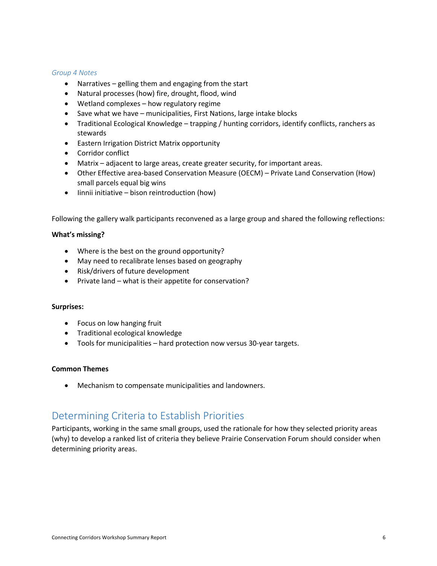#### *Group 4 Notes*

- Narratives gelling them and engaging from the start
- Natural processes (how) fire, drought, flood, wind
- Wetland complexes how regulatory regime
- Save what we have municipalities, First Nations, large intake blocks
- Traditional Ecological Knowledge trapping / hunting corridors, identify conflicts, ranchers as stewards
- Eastern Irrigation District Matrix opportunity
- Corridor conflict
- Matrix adjacent to large areas, create greater security, for important areas.
- Other Effective area-based Conservation Measure (OECM) Private Land Conservation (How) small parcels equal big wins
- Iinnii initiative bison reintroduction (how)

Following the gallery walk participants reconvened as a large group and shared the following reflections:

#### **What's missing?**

- Where is the best on the ground opportunity?
- May need to recalibrate lenses based on geography
- Risk/drivers of future development
- Private land what is their appetite for conservation?

#### **Surprises:**

- Focus on low hanging fruit
- Traditional ecological knowledge
- Tools for municipalities hard protection now versus 30-year targets.

#### **Common Themes**

• Mechanism to compensate municipalities and landowners.

### Determining Criteria to Establish Priorities

Participants, working in the same small groups, used the rationale for how they selected priority areas (why) to develop a ranked list of criteria they believe Prairie Conservation Forum should consider when determining priority areas.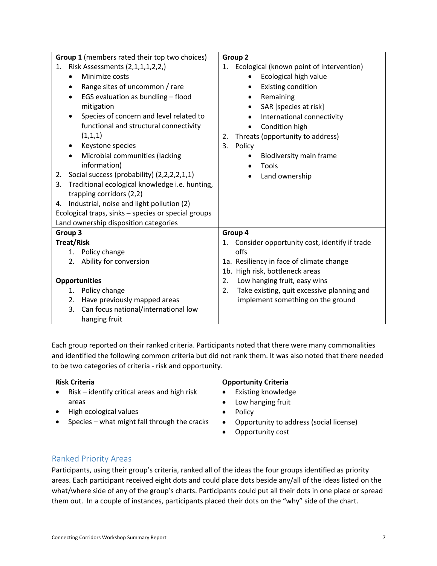| Group 1 (members rated their top two choices)        | Group 2                                          |  |  |
|------------------------------------------------------|--------------------------------------------------|--|--|
| Risk Assessments (2,1,1,1,2,2,)<br>1.                | 1. Ecological (known point of intervention)      |  |  |
| Minimize costs                                       | Ecological high value                            |  |  |
| Range sites of uncommon / rare                       | <b>Existing condition</b>                        |  |  |
| EGS evaluation as bundling - flood                   | Remaining                                        |  |  |
| mitigation                                           | SAR [species at risk]<br>$\bullet$               |  |  |
| Species of concern and level related to              | International connectivity<br>$\bullet$          |  |  |
| functional and structural connectivity               | Condition high<br>$\bullet$                      |  |  |
| (1,1,1)                                              | Threats (opportunity to address)<br>2.           |  |  |
| Keystone species                                     | 3.<br>Policy                                     |  |  |
| Microbial communities (lacking                       | Biodiversity main frame                          |  |  |
| information)                                         | Tools                                            |  |  |
| Social success (probability) (2,2,2,2,1,1)<br>2.     | Land ownership                                   |  |  |
| Traditional ecological knowledge i.e. hunting,<br>3. |                                                  |  |  |
| trapping corridors (2,2)                             |                                                  |  |  |
| Industrial, noise and light pollution (2)<br>4.      |                                                  |  |  |
| Ecological traps, sinks - species or special groups  |                                                  |  |  |
| Land ownership disposition categories                |                                                  |  |  |
| Group 3                                              | Group 4                                          |  |  |
| <b>Treat/Risk</b>                                    | 1. Consider opportunity cost, identify if trade  |  |  |
| 1. Policy change                                     | offs                                             |  |  |
| Ability for conversion<br>2.                         | 1a. Resiliency in face of climate change         |  |  |
|                                                      | 1b. High risk, bottleneck areas                  |  |  |
| <b>Opportunities</b>                                 | Low hanging fruit, easy wins<br>2.               |  |  |
| 1. Policy change                                     | Take existing, quit excessive planning and<br>2. |  |  |
| Have previously mapped areas<br>2.                   | implement something on the ground                |  |  |
| Can focus national/international low<br>3.           |                                                  |  |  |
| hanging fruit                                        |                                                  |  |  |

Each group reported on their ranked criteria. Participants noted that there were many commonalities and identified the following common criteria but did not rank them. It was also noted that there needed to be two categories of criteria - risk and opportunity.

- Risk identify critical areas and high risk areas
- High ecological values
- Species what might fall through the cracks

### **Risk Criteria Opportunity Criteria**

- Existing knowledge
- Low hanging fruit
- Policy
- Opportunity to address (social license)
- Opportunity cost

### Ranked Priority Areas

Participants, using their group's criteria, ranked all of the ideas the four groups identified as priority areas. Each participant received eight dots and could place dots beside any/all of the ideas listed on the what/where side of any of the group's charts. Participants could put all their dots in one place or spread them out. In a couple of instances, participants placed their dots on the "why" side of the chart.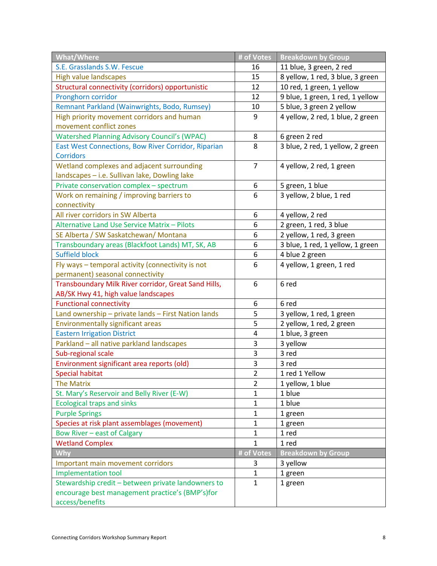| <b>What/Where</b>                                    | # of Votes     | <b>Breakdown by Group</b>        |
|------------------------------------------------------|----------------|----------------------------------|
| S.E. Grasslands S.W. Fescue                          | 16             | 11 blue, 3 green, 2 red          |
| <b>High value landscapes</b>                         | 15             | 8 yellow, 1 red, 3 blue, 3 green |
| Structural connectivity (corridors) opportunistic    | 12             | 10 red, 1 green, 1 yellow        |
| Pronghorn corridor                                   | 12             | 9 blue, 1 green, 1 red, 1 yellow |
| Remnant Parkland (Wainwrights, Bodo, Rumsey)         | 10             | 5 blue, 3 green 2 yellow         |
| High priority movement corridors and human           | 9              | 4 yellow, 2 red, 1 blue, 2 green |
| movement conflict zones                              |                |                                  |
| <b>Watershed Planning Advisory Council's (WPAC)</b>  | 8              | 6 green 2 red                    |
| East West Connections, Bow River Corridor, Riparian  | 8              | 3 blue, 2 red, 1 yellow, 2 green |
| <b>Corridors</b>                                     |                |                                  |
| Wetland complexes and adjacent surrounding           | $\overline{7}$ | 4 yellow, 2 red, 1 green         |
| landscapes - i.e. Sullivan lake, Dowling lake        |                |                                  |
| Private conservation complex - spectrum              | 6              | 5 green, 1 blue                  |
| Work on remaining / improving barriers to            | 6              | 3 yellow, 2 blue, 1 red          |
| connectivity                                         |                |                                  |
| All river corridors in SW Alberta                    | 6              | 4 yellow, 2 red                  |
| Alternative Land Use Service Matrix - Pilots         | 6              | 2 green, 1 red, 3 blue           |
| SE Alberta / SW Saskatchewan/ Montana                | 6              | 2 yellow, 1 red, 3 green         |
| Transboundary areas (Blackfoot Lands) MT, SK, AB     | 6              | 3 blue, 1 red, 1 yellow, 1 green |
| <b>Suffield block</b>                                | 6              | 4 blue 2 green                   |
| Fly ways - temporal activity (connectivity is not    | 6              | 4 yellow, 1 green, 1 red         |
| permanent) seasonal connectivity                     |                |                                  |
| Transboundary Milk River corridor, Great Sand Hills, | 6              | 6 red                            |
| AB/SK Hwy 41, high value landscapes                  |                |                                  |
| <b>Functional connectivity</b>                       | 6              | 6 red                            |
| Land ownership - private lands - First Nation lands  | 5              | 3 yellow, 1 red, 1 green         |
| <b>Environmentally significant areas</b>             | 5              | 2 yellow, 1 red, 2 green         |
| <b>Eastern Irrigation District</b>                   | 4              | 1 blue, 3 green                  |
| Parkland - all native parkland landscapes            | 3              | 3 yellow                         |
| Sub-regional scale                                   | 3              | 3 red                            |
| Environment significant area reports (old)           | 3              | 3 red                            |
| <b>Special habitat</b>                               | 2              | 1 red 1 Yellow                   |
| <b>The Matrix</b>                                    | 2              | 1 yellow, 1 blue                 |
| St. Mary's Reservoir and Belly River (E-W)           | 1              | 1 blue                           |
| <b>Ecological traps and sinks</b>                    | $\mathbf{1}$   | 1 blue                           |
| <b>Purple Springs</b>                                | 1              | 1 green                          |
| Species at risk plant assemblages (movement)         | 1              | 1 green                          |
| <b>Bow River - east of Calgary</b>                   | $\mathbf{1}$   | 1 red                            |
| <b>Wetland Complex</b>                               | $\mathbf{1}$   | 1 red                            |
| <b>Why</b>                                           | # of Votes     | <b>Breakdown by Group</b>        |
| Important main movement corridors                    | 3              | 3 yellow                         |
| <b>Implementation tool</b>                           | 1              | 1 green                          |
| Stewardship credit - between private landowners to   | $\mathbf{1}$   | 1 green                          |
| encourage best management practice's (BMP's)for      |                |                                  |
| access/benefits                                      |                |                                  |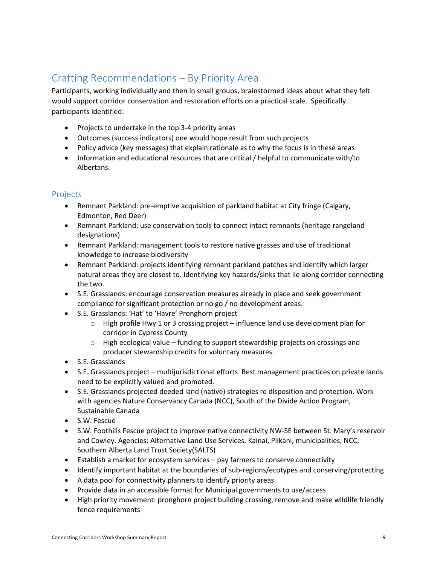## Crafting Recommendations – By Priority Area

Participants, working individually and then in small groups, brainstormed ideas about what they felt would support corridor conservation and restoration efforts on a practical scale. Specifically participants identified:

- Projects to undertake in the top 3-4 priority areas
- Outcomes (success indicators) one would hope result from such projects
- Policy advice (key messages) that explain rationale as to why the focus is in these areas
- Information and educational resources that are critical / helpful to communicate with/to Albertans.

### Projects

- Remnant Parkland: pre-emptive acquisition of parkland habitat at City fringe (Calgary, Edmonton, Red Deer)
- Remnant Parkland: use conservation tools to connect intact remnants (heritage rangeland designations)
- Remnant Parkland: management tools to restore native grasses and use of traditional knowledge to increase biodiversity
- Remnant Parkland: projects identifying remnant parkland patches and identify which larger natural areas they are closest to. Identifying key hazards/sinks that lie along corridor connecting the two.
- S.E. Grasslands: encourage conservation measures already in place and seek government compliance for significant protection or no go / no development areas.
- S.E. Grasslands: 'Hat' to 'Havre' Pronghorn project
	- $\circ$  High profile Hwy 1 or 3 crossing project influence land use development plan for corridor in Cypress County
	- $\circ$  High ecological value funding to support stewardship projects on crossings and producer stewardship credits for voluntary measures.
- S.E. Grasslands
- S.E. Grasslands project multijurisdictional efforts. Best management practices on private lands need to be explicitly valued and promoted.
- S.E. Grasslands projected deeded land (native) strategies re disposition and protection. Work with agencies Nature Conservancy Canada (NCC), South of the Divide Action Program, Sustainable Canada
- S.W. Fescue
- S.W. Foothills Fescue project to improve native connectivity NW-SE between St. Mary's reservoir and Cowley. Agencies: Alternative Land Use Services, Kainai, Piikani, municipalities, NCC, Southern Alberta Land Trust Society(SALTS)
- Establish a market for ecosystem services pay farmers to conserve connectivity
- Identify important habitat at the boundaries of sub-regions/ecotypes and conserving/protecting
- A data pool for connectivity planners to identify priority areas
- Provide data in an accessible format for Municipal governments to use/access
- High priority movement: pronghorn project building crossing, remove and make wildlife friendly fence requirements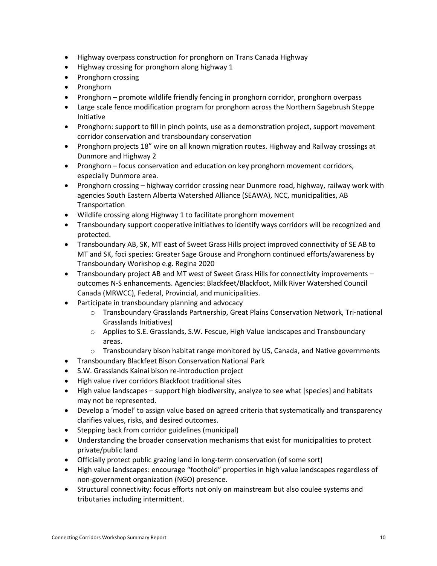- Highway overpass construction for pronghorn on Trans Canada Highway
- Highway crossing for pronghorn along highway 1
- Pronghorn crossing
- Pronghorn
- Pronghorn promote wildlife friendly fencing in pronghorn corridor, pronghorn overpass
- Large scale fence modification program for pronghorn across the Northern Sagebrush Steppe Initiative
- Pronghorn: support to fill in pinch points, use as a demonstration project, support movement corridor conservation and transboundary conservation
- Pronghorn projects 18" wire on all known migration routes. Highway and Railway crossings at Dunmore and Highway 2
- Pronghorn focus conservation and education on key pronghorn movement corridors, especially Dunmore area.
- Pronghorn crossing highway corridor crossing near Dunmore road, highway, railway work with agencies South Eastern Alberta Watershed Alliance (SEAWA), NCC, municipalities, AB Transportation
- Wildlife crossing along Highway 1 to facilitate pronghorn movement
- Transboundary support cooperative initiatives to identify ways corridors will be recognized and protected.
- Transboundary AB, SK, MT east of Sweet Grass Hills project improved connectivity of SE AB to MT and SK, foci species: Greater Sage Grouse and Pronghorn continued efforts/awareness by Transboundary Workshop e.g. Regina 2020
- Transboundary project AB and MT west of Sweet Grass Hills for connectivity improvements outcomes N-S enhancements. Agencies: Blackfeet/Blackfoot, Milk River Watershed Council Canada (MRWCC), Federal, Provincial, and municipalities.
- Participate in transboundary planning and advocacy
	- o Transboundary Grasslands Partnership, Great Plains Conservation Network, Tri-national Grasslands Initiatives)
	- o Applies to S.E. Grasslands, S.W. Fescue, High Value landscapes and Transboundary areas.
	- $\circ$  Transboundary bison habitat range monitored by US, Canada, and Native governments
- Transboundary Blackfeet Bison Conservation National Park
- S.W. Grasslands Kainai bison re-introduction project
- High value river corridors Blackfoot traditional sites
- High value landscapes support high biodiversity, analyze to see what [species] and habitats may not be represented.
- Develop a 'model' to assign value based on agreed criteria that systematically and transparency clarifies values, risks, and desired outcomes.
- Stepping back from corridor guidelines (municipal)
- Understanding the broader conservation mechanisms that exist for municipalities to protect private/public land
- Officially protect public grazing land in long-term conservation (of some sort)
- High value landscapes: encourage "foothold" properties in high value landscapes regardless of non-government organization (NGO) presence.
- Structural connectivity: focus efforts not only on mainstream but also coulee systems and tributaries including intermittent.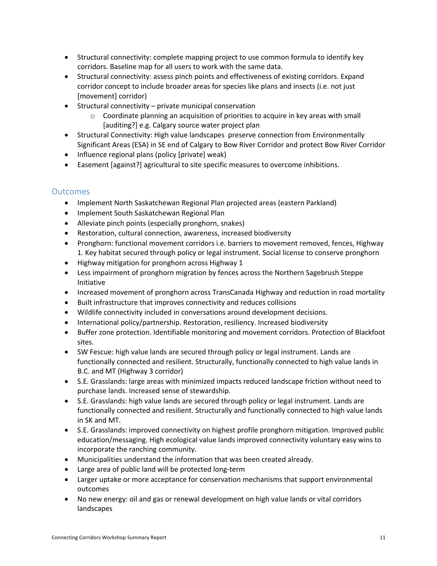- Structural connectivity: complete mapping project to use common formula to identify key corridors. Baseline map for all users to work with the same data.
- Structural connectivity: assess pinch points and effectiveness of existing corridors. Expand corridor concept to include broader areas for species like plans and insects (i.e. not just [movement] corridor)
- Structural connectivity private municipal conservation
	- $\circ$  Coordinate planning an acquisition of priorities to acquire in key areas with small [auditing?] e.g. Calgary source water project plan
- Structural Connectivity: High value landscapes preserve connection from Environmentally Significant Areas (ESA) in SE end of Calgary to Bow River Corridor and protect Bow River Corridor
- Influence regional plans (policy [private] weak)
- Easement [against?] agricultural to site specific measures to overcome inhibitions.

### **Outcomes**

- Implement North Saskatchewan Regional Plan projected areas (eastern Parkland)
- Implement South Saskatchewan Regional Plan
- Alleviate pinch points (especially pronghorn, snakes)
- Restoration, cultural connection, awareness, increased biodiversity
- Pronghorn: functional movement corridors i.e. barriers to movement removed, fences, Highway 1. Key habitat secured through policy or legal instrument. Social license to conserve pronghorn
- Highway mitigation for pronghorn across Highway 1
- Less impairment of pronghorn migration by fences across the Northern Sagebrush Steppe Initiative
- Increased movement of pronghorn across TransCanada Highway and reduction in road mortality
- Built infrastructure that improves connectivity and reduces collisions
- Wildlife connectivity included in conversations around development decisions.
- International policy/partnership. Restoration, resiliency. Increased biodiversity
- Buffer zone protection. Identifiable monitoring and movement corridors. Protection of Blackfoot sites.
- SW Fescue: high value lands are secured through policy or legal instrument. Lands are functionally connected and resilient. Structurally, functionally connected to high value lands in B.C. and MT (Highway 3 corridor)
- S.E. Grasslands: large areas with minimized impacts reduced landscape friction without need to purchase lands. Increased sense of stewardship.
- S.E. Grasslands: high value lands are secured through policy or legal instrument. Lands are functionally connected and resilient. Structurally and functionally connected to high value lands in SK and MT.
- S.E. Grasslands: improved connectivity on highest profile pronghorn mitigation. Improved public education/messaging. High ecological value lands improved connectivity voluntary easy wins to incorporate the ranching community.
- Municipalities understand the information that was been created already.
- Large area of public land will be protected long-term
- Larger uptake or more acceptance for conservation mechanisms that support environmental outcomes
- No new energy: oil and gas or renewal development on high value lands or vital corridors landscapes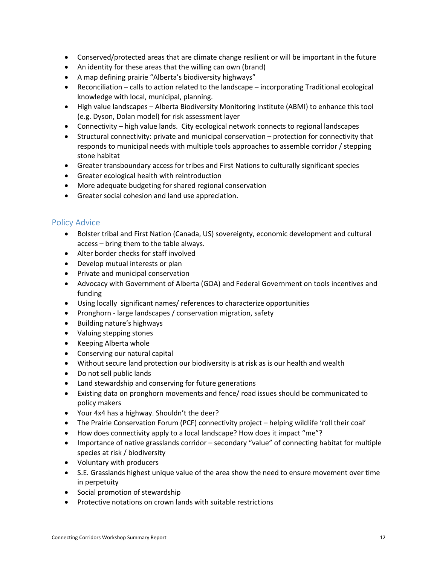- Conserved/protected areas that are climate change resilient or will be important in the future
- An identity for these areas that the willing can own (brand)
- A map defining prairie "Alberta's biodiversity highways"
- Reconciliation calls to action related to the landscape incorporating Traditional ecological knowledge with local, municipal, planning.
- High value landscapes Alberta Biodiversity Monitoring Institute (ABMI) to enhance this tool (e.g. Dyson, Dolan model) for risk assessment layer
- Connectivity high value lands. City ecological network connects to regional landscapes
- Structural connectivity: private and municipal conservation protection for connectivity that responds to municipal needs with multiple tools approaches to assemble corridor / stepping stone habitat
- Greater transboundary access for tribes and First Nations to culturally significant species
- Greater ecological health with reintroduction
- More adequate budgeting for shared regional conservation
- Greater social cohesion and land use appreciation.

### Policy Advice

- Bolster tribal and First Nation (Canada, US) sovereignty, economic development and cultural access – bring them to the table always.
- Alter border checks for staff involved
- Develop mutual interests or plan
- Private and municipal conservation
- Advocacy with Government of Alberta (GOA) and Federal Government on tools incentives and funding
- Using locally significant names/ references to characterize opportunities
- Pronghorn large landscapes / conservation migration, safety
- Building nature's highways
- Valuing stepping stones
- Keeping Alberta whole
- Conserving our natural capital
- Without secure land protection our biodiversity is at risk as is our health and wealth
- Do not sell public lands
- Land stewardship and conserving for future generations
- Existing data on pronghorn movements and fence/ road issues should be communicated to policy makers
- Your 4x4 has a highway. Shouldn't the deer?
- The Prairie Conservation Forum (PCF) connectivity project helping wildlife 'roll their coal'
- How does connectivity apply to a local landscape? How does it impact "me"?
- Importance of native grasslands corridor secondary "value" of connecting habitat for multiple species at risk / biodiversity
- Voluntary with producers
- S.E. Grasslands highest unique value of the area show the need to ensure movement over time in perpetuity
- Social promotion of stewardship
- Protective notations on crown lands with suitable restrictions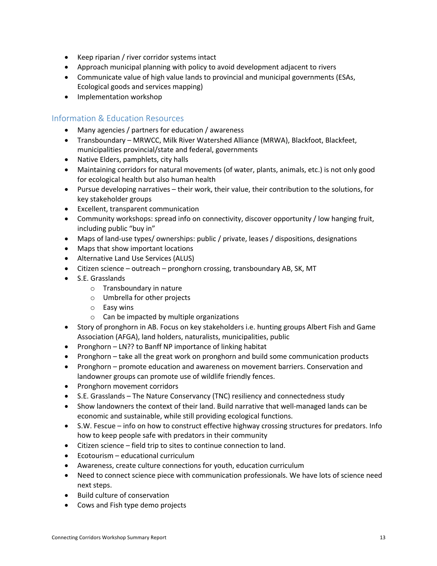- Keep riparian / river corridor systems intact
- Approach municipal planning with policy to avoid development adjacent to rivers
- Communicate value of high value lands to provincial and municipal governments (ESAs, Ecological goods and services mapping)
- Implementation workshop

### Information & Education Resources

- Many agencies / partners for education / awareness
- Transboundary MRWCC, Milk River Watershed Alliance (MRWA), Blackfoot, Blackfeet, municipalities provincial/state and federal, governments
- Native Elders, pamphlets, city halls
- Maintaining corridors for natural movements (of water, plants, animals, etc.) is not only good for ecological health but also human health
- Pursue developing narratives their work, their value, their contribution to the solutions, for key stakeholder groups
- Excellent, transparent communication
- Community workshops: spread info on connectivity, discover opportunity / low hanging fruit, including public "buy in"
- Maps of land-use types/ ownerships: public / private, leases / dispositions, designations
- Maps that show important locations
- Alternative Land Use Services (ALUS)
- Citizen science outreach pronghorn crossing, transboundary AB, SK, MT
- S.E. Grasslands
	- o Transboundary in nature
	- o Umbrella for other projects
	- o Easy wins
	- o Can be impacted by multiple organizations
- Story of pronghorn in AB. Focus on key stakeholders i.e. hunting groups Albert Fish and Game Association (AFGA), land holders, naturalists, municipalities, public
- Pronghorn LN?? to Banff NP importance of linking habitat
- Pronghorn take all the great work on pronghorn and build some communication products
- Pronghorn promote education and awareness on movement barriers. Conservation and landowner groups can promote use of wildlife friendly fences.
- Pronghorn movement corridors
- S.E. Grasslands The Nature Conservancy (TNC) resiliency and connectedness study
- Show landowners the context of their land. Build narrative that well-managed lands can be economic and sustainable, while still providing ecological functions.
- S.W. Fescue info on how to construct effective highway crossing structures for predators. Info how to keep people safe with predators in their community
- Citizen science field trip to sites to continue connection to land.
- Ecotourism educational curriculum
- Awareness, create culture connections for youth, education curriculum
- Need to connect science piece with communication professionals. We have lots of science need next steps.
- Build culture of conservation
- Cows and Fish type demo projects